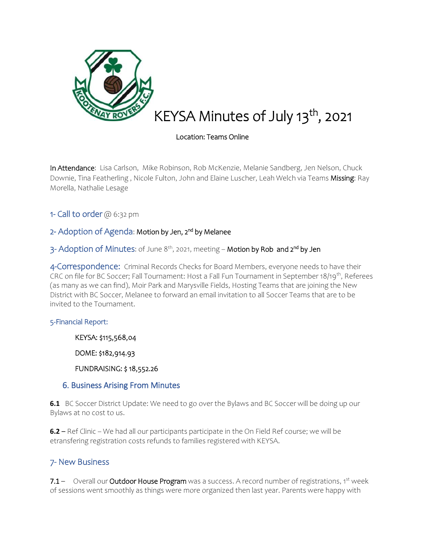

# KEYSA Minutes of July 13<sup>th</sup>, 2021

#### Location: Teams Online

In Attendance: Lisa Carlson, Mike Robinson, Rob McKenzie, Melanie Sandberg, Jen Nelson, Chuck Downie, Tina Featherling, Nicole Fulton, John and Elaine Luscher, Leah Welch via Teams Missing: Ray Morella, Nathalie Lesage

1- Call to order @ 6:32 pm

# 2- Adoption of Agenda: Motion by Jen, 2<sup>nd</sup> by Melanee

3- Adoption of Minutes: of June 8<sup>th</sup>, 2021, meeting – **Motion by Rob and 2<sup>nd</sup> by Jen** 

4-Correspondence: Criminal Records Checks for Board Members, everyone needs to have their CRC on file for BC Soccer; Fall Tournament: Host a Fall Fun Tournament in September 18/19th, Referees (as many as we can find), Moir Park and Marysville Fields, Hosting Teams that are joining the New District with BC Soccer, Melanee to forward an email invitation to all Soccer Teams that are to be invited to the Tournament.

#### 5-Financial Report:

KEYSA: \$115,568,04

DOME: \$182,914.93

FUNDRAISING: \$ 18,552.26

#### 6. Business Arising From Minutes

**6.1** BC Soccer District Update: We need to go over the Bylaws and BC Soccer will be doing up our Bylaws at no cost to us.

**6.2** – Ref Clinic – We had all our participants participate in the On Field Ref course; we will be etransfering registration costs refunds to families registered with KEYSA.

## 7- New Business

7.1 – Overall our Outdoor House Program was a success. A record number of registrations, 1st week of sessions went smoothly as things were more organized then last year. Parents were happy with